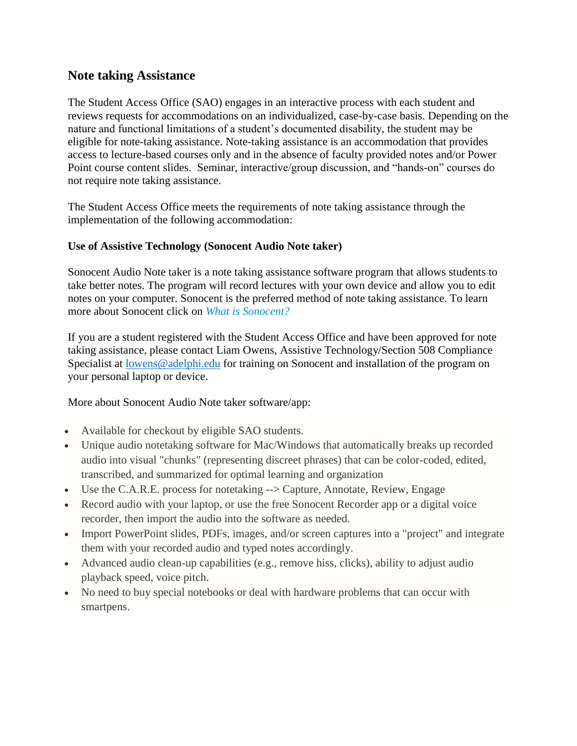# **Note taking Assistance**

The Student Access Office (SAO) engages in an interactive process with each student and reviews requests for accommodations on an individualized, case-by-case basis. Depending on the nature and functional limitations of a student's documented disability, the student may be eligible for note-taking assistance. Note-taking assistance is an accommodation that provides access to lecture-based courses only and in the absence of faculty provided notes and/or Power Point course content slides. Seminar, interactive/group discussion, and "hands-on" courses do not require note taking assistance.

The Student Access Office meets the requirements of note taking assistance through the implementation of the following accommodation:

## **Use of Assistive Technology (Sonocent Audio Note taker)**

Sonocent Audio Note taker is a note taking assistance software program that allows students to take better notes. The program will record lectures with your own device and allow you to edit notes on your computer. Sonocent is the preferred method of note taking assistance. To learn more about Sonocent click on *[What is Sonocent?](https://www.youtube.com/watch?v=KI6A5W0XFMM)*

If you are a student registered with the Student Access Office and have been approved for note taking assistance, please contact Liam Owens, Assistive Technology/Section 508 Compliance Specialist at [lowens@adelphi.edu](mailto:lowens@adelphi.edu) for training on Sonocent and installation of the program on your personal laptop or device.

More about Sonocent Audio Note taker software/app:

- Available for checkout by eligible SAO students.
- Unique audio notetaking software for Mac/Windows that automatically breaks up recorded audio into visual "chunks" (representing discreet phrases) that can be color-coded, edited, transcribed, and summarized for optimal learning and organization
- Use the C.A.R.E. process for notetaking --> Capture, Annotate, Review, Engage
- Record audio with your laptop, or use the free Sonocent Recorder app or a digital voice recorder, then import the audio into the software as needed.
- Import PowerPoint slides, PDFs, images, and/or screen captures into a "project" and integrate them with your recorded audio and typed notes accordingly.
- Advanced audio clean-up capabilities (e.g., remove hiss, clicks), ability to adjust audio playback speed, voice pitch.
- No need to buy special notebooks or deal with hardware problems that can occur with smartpens.